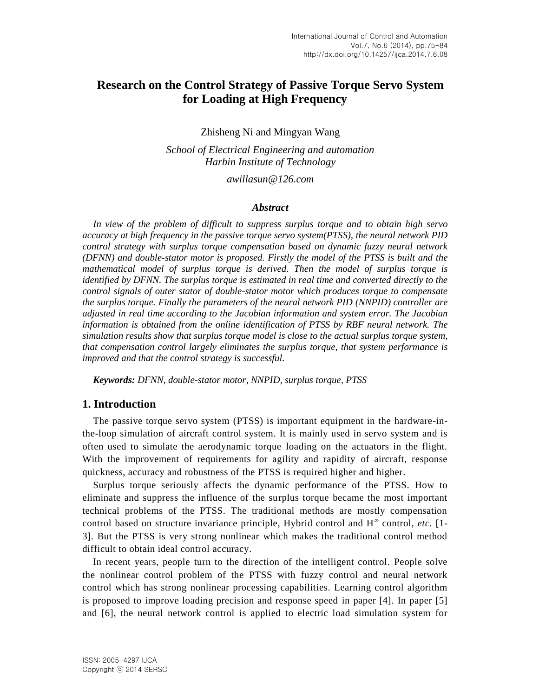# **Research on the Control Strategy of Passive Torque Servo System for Loading at High Frequency**

Zhisheng Ni and Mingyan Wang

*School of Electrical Engineering and automation Harbin Institute of Technology*

*awillasun@126.com*

#### *Abstract*

*In view of the problem of difficult to suppress surplus torque and to obtain high servo accuracy at high frequency in the passive torque servo system(PTSS), the neural network PID control strategy with surplus torque compensation based on dynamic fuzzy neural network (DFNN) and double-stator motor is proposed. Firstly the model of the PTSS is built and the mathematical model of surplus torque is derived. Then the model of surplus torque is identified by DFNN. The surplus torque is estimated in real time and converted directly to the control signals of outer stator of double-stator motor which produces torque to compensate the surplus torque. Finally the parameters of the neural network PID (NNPID) controller are adjusted in real time according to the Jacobian information and system error. The Jacobian information is obtained from the online identification of PTSS by RBF neural network. The simulation results show that surplus torque model is close to the actual surplus torque system, that compensation control largely eliminates the surplus torque, that system performance is improved and that the control strategy is successful.*

*Keywords: DFNN, double-stator motor, NNPID, surplus torque, PTSS*

## **1. Introduction**

The passive torque servo system (PTSS) is important equipment in the hardware-inthe-loop simulation of aircraft control system. It is mainly used in servo system and is often used to simulate the aerodynamic torque loading on the actuators in the flight. With the improvement of requirements for agility and rapidity of aircraft, response quickness, accuracy and robustness of the PTSS is required higher and higher.

Surplus torque seriously affects the dynamic performance of the PTSS. How to eliminate and suppress the influence of the surplus torque became the most important technical problems of the PTSS. The traditional methods are mostly compensation control based on structure invariance principle, Hybrid control and H<sup>∞</sup> control, *etc.* [1- 3]. But the PTSS is very strong nonlinear which makes the traditional control method difficult to obtain ideal control accuracy.

In recent years, people turn to the direction of the intelligent control. People solve the nonlinear control problem of the PTSS with fuzzy control and neural network control which has strong nonlinear processing capabilities. Learning control algorithm is proposed to improve loading precision and response speed in paper [4]. In paper [5] and [6], the neural network control is applied to electric load simulation system for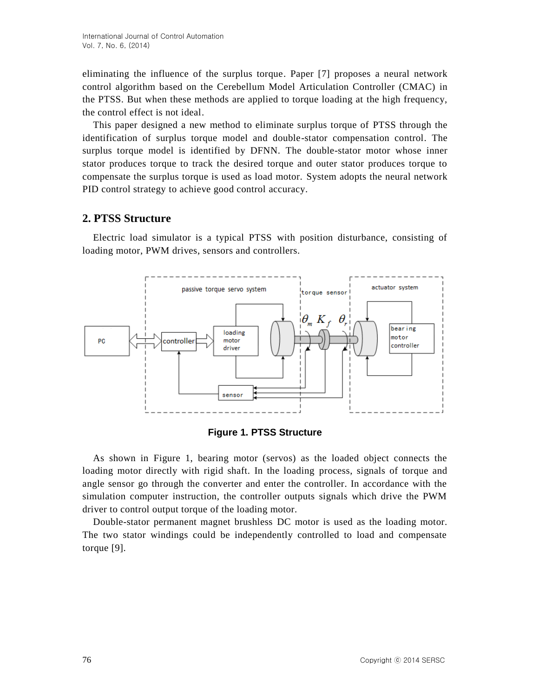eliminating the influence of the surplus torque. Paper [7] proposes a neural network control algorithm based on the Cerebellum Model Articulation Controller (CMAC) in the PTSS. But when these methods are applied to torque loading at the high frequency, the control effect is not ideal.

This paper designed a new method to eliminate surplus torque of PTSS through the identification of surplus torque model and double-stator compensation control. The surplus torque model is identified by DFNN. The double-stator motor whose inner stator produces torque to track the desired torque and outer stator produces torque to compensate the surplus torque is used as load motor. System adopts the neural network PID control strategy to achieve good control accuracy.

## **2. PTSS Structure**

Electric load simulator is a typical PTSS with position disturbance, consisting of loading motor, PWM drives, sensors and controllers.



**Figure 1. PTSS Structure**

As shown in Figure 1, bearing motor (servos) as the loaded object connects the loading motor directly with rigid shaft. In the loading process, signals of torque and angle sensor go through the converter and enter the controller. In accordance with the simulation computer instruction, the controller outputs signals which drive the PWM driver to control output torque of the loading motor.

Double-stator permanent magnet brushless DC motor is used as the loading motor. The two stator windings could be independently controlled to load and compensate torque [9].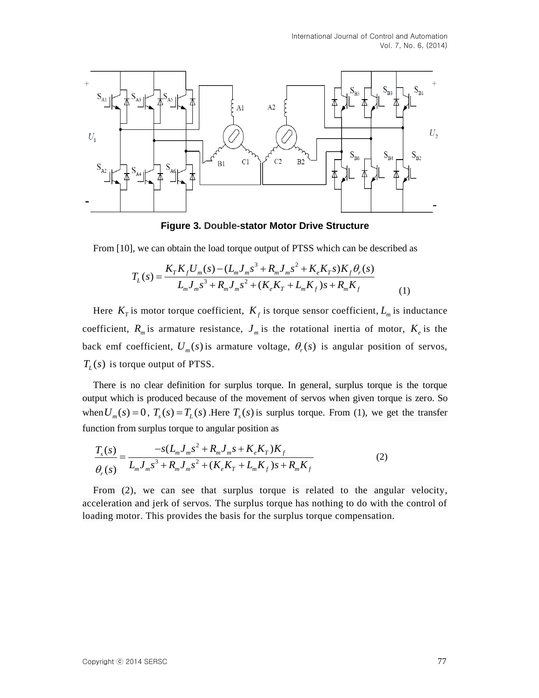

**Figure 3. Double-stator Motor Drive Structure**

From [10], we can obtain the load torque output of PTSS which can be described as  $K_{\alpha}K_{\alpha}U(s) - (L J s^3 + R J s^2 + K K_{\alpha} s)K_{\alpha}\theta(s)$ 

], we can obtain the load torque output of PTSS which can be described as  
\n
$$
T_L(s) = \frac{K_T K_f U_m(s) - (L_m J_m s^3 + R_m J_m s^2 + K_e K_T s) K_f \theta_r(s)}{L_m J_m s^3 + R_m J_m s^2 + (K_e K_T + L_m K_f) s + R_m K_f}
$$
\n(1)

Here  $K_T$  is motor torque coefficient,  $K_f$  is torque sensor coefficient,  $L_m$  is inductance coefficient,  $R_m$  is armature resistance,  $J_m$  is the rotational inertia of motor,  $K_e$  is the back emf coefficient,  $U_m(s)$  is armature voltage,  $\theta_r(s)$  is angular position of servos,  $T_{L}(s)$  is torque output of PTSS.

There is no clear definition for surplus torque. In general, surplus torque is the torque output which is produced because of the movement of servos when given torque is zero. So when  $U_m(s) = 0$ ,  $T_s(s) = T_L(s)$ . Here  $T_s(s)$  is surplus torque. From (1), we get the transfer

function from surplus torque to angular position as  
\n
$$
\frac{T_s(s)}{\theta_r(s)} = \frac{-s(L_m J_m s^2 + R_m J_m s + K_e K_T)K_f}{L_m J_m s^3 + R_m J_m s^2 + (K_e K_T + L_m K_f) s + R_m K_f}
$$
\n(2)

From (2), we can see that surplus torque is related to the angular velocity, acceleration and jerk of servos. The surplus torque has nothing to do with the control of loading motor. This provides the basis for the surplus torque compensation.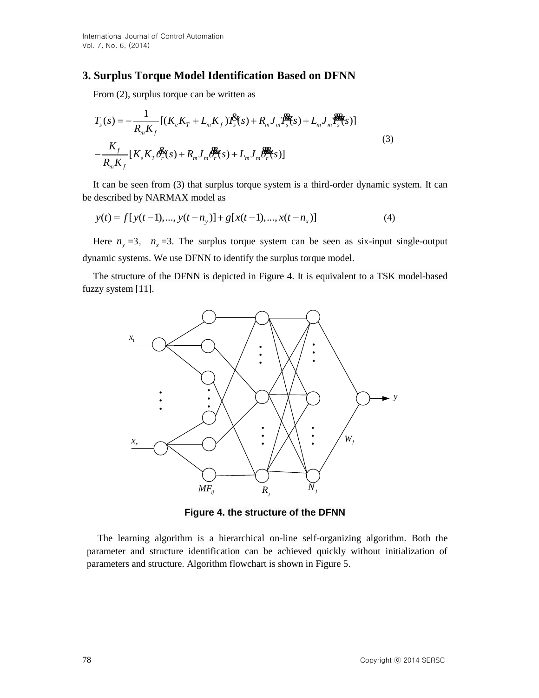## **3. Surplus Torque Model Identification Based on DFNN**

From (2), surplus torque can be written as  
\n
$$
T_s(s) = -\frac{1}{R_m K_f} [(K_e K_T + L_m K_f) T_s^k(s) + R_m J_m T_s^k(s) + L_m J_m T_s^k(s)]
$$
\n
$$
-\frac{K_f}{R_m K_f} [K_e K_T \mathcal{O}_r^k(s) + R_m J_m \mathcal{O}_r^k(s) + L_m J_m \mathcal{O}_r^k(s)]
$$
\n(3)

It can be seen from (3) that surplus torque system is a third-order dynamic system. It can

be described by NARMAX model as  
\n
$$
y(t) = f[y(t-1),..., y(t-n_y)] + g[x(t-1),..., x(t-n_x)]
$$
\n(4)

Here  $n_y = 3$ ,  $n_x = 3$ . The surplus torque system can be seen as six-input single-output dynamic systems. We use DFNN to identify the surplus torque model.

The structure of the DFNN is depicted in Figure 4. It is equivalent to a TSK model-based fuzzy system [11].



**Figure 4. the structure of the DFNN**

The learning algorithm is a hierarchical on-line self-organizing algorithm. Both the parameter and structure identification can be achieved quickly without initialization of parameters and structure. Algorithm flowchart is shown in Figure 5.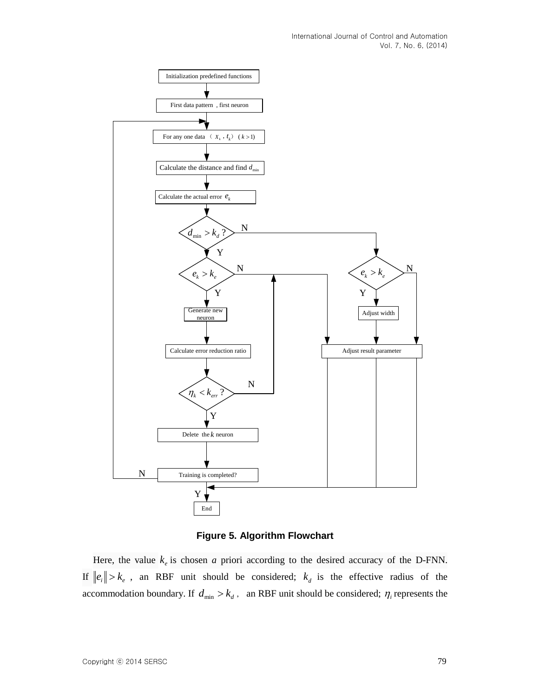

### **Figure 5. Algorithm Flowchart**

Here, the value  $k_e$  is chosen *a* priori according to the desired accuracy of the D-FNN. If  $||e_i|| > k_e$ , an RBF unit should be considered;  $k_d$  is the effective radius of the accommodation boundary. If  $d_{\min} > k_d$ , an RBF unit should be considered;  $\eta_i$  represents the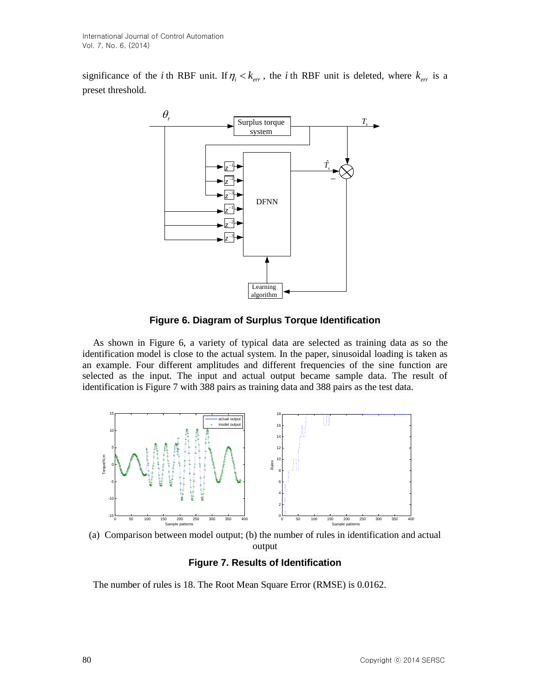significance of the *i* th RBF unit. If  $\eta_i < k_{err}$ , the *i* th RBF unit is deleted, where  $k_{err}$  is a preset threshold.



**Figure 6. Diagram of Surplus Torque Identification**

As shown in Figure 6, a variety of typical data are selected as training data as so the identification model is close to the actual system. In the paper, sinusoidal loading is taken as an example. Four different amplitudes and different frequencies of the sine function are selected as the input. The input and actual output became sample data. The result of identification is Figure 7 with 388 pairs as training data and 388 pairs as the test data.



(a) Comparison between model output; (b) the number of rules in identification and actual output

**Figure 7. Results of Identification**

The number of rules is 18. The Root Mean Square Error (RMSE) is 0.0162.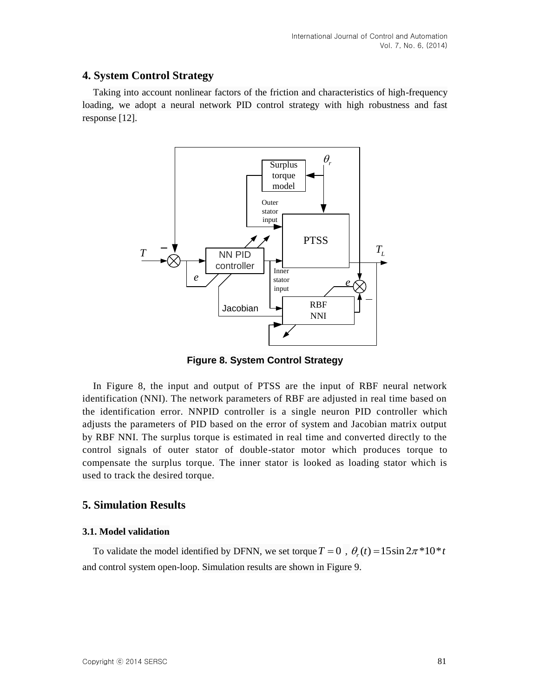## **4. System Control Strategy**

Taking into account nonlinear factors of the friction and characteristics of high-frequency loading, we adopt a neural network PID control strategy with high robustness and fast response [12].



**Figure 8. System Control Strategy**

In Figure 8, the input and output of PTSS are the input of RBF neural network identification (NNI). The network parameters of RBF are adjusted in real time based on the identification error. NNPID controller is a single neuron PID controller which adjusts the parameters of PID based on the error of system and Jacobian matrix output by RBF NNI. The surplus torque is estimated in real time and converted directly to the control signals of outer stator of double-stator motor which produces torque to compensate the surplus torque. The inner stator is looked as loading stator which is used to track the desired torque.

## **5. Simulation Results**

#### **3.1. Model validation**

To validate the model identified by DFNN, we set torque  $T = 0$ ,  $\theta_r(t) = 15 \sin 2\pi * 10 * t$ and control system open-loop. Simulation results are shown in Figure 9.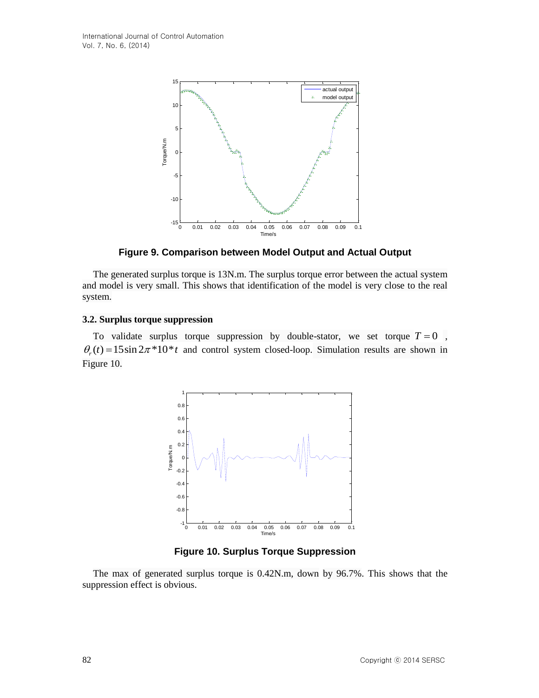

**Figure 9. Comparison between Model Output and Actual Output**

The generated surplus torque is 13N.m. The surplus torque error between the actual system and model is very small. This shows that identification of the model is very close to the real system.

### **3.2. Surplus torque suppression**

To validate surplus torque suppression by double-stator, we set torque  $T = 0$ ,  $(\theta_r(t)) = 15 \sin 2\pi * 10 * t$  and control system closed-loop. Simulation results are shown in Figure 10.



**Figure 10. Surplus Torque Suppression**

The max of generated surplus torque is 0.42N.m, down by 96.7%. This shows that the suppression effect is obvious.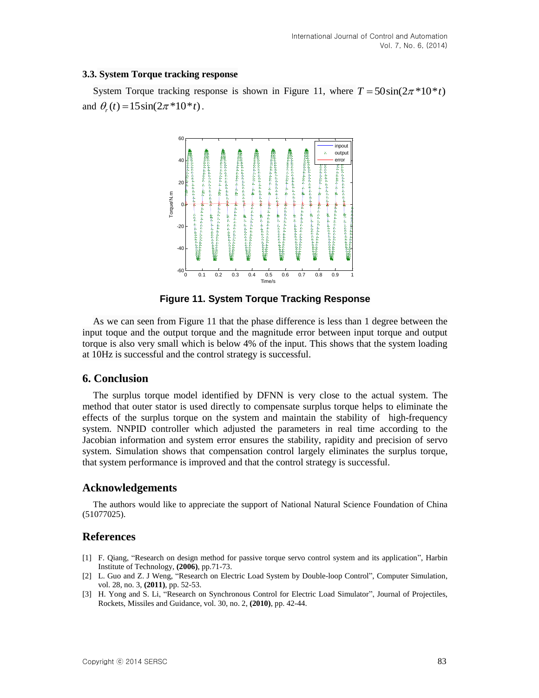#### **3.3. System Torque tracking response**

System Torque tracking response is shown in Figure 11, where  $T = 50\sin(2\pi * 10 * t)$ and  $\theta_r(t) = 15\sin(2\pi * 10 * t)$ .



**Figure 11. System Torque Tracking Response**

As we can seen from Figure 11 that the phase difference is less than 1 degree between the input toque and the output torque and the magnitude error between input torque and output torque is also very small which is below 4% of the input. This shows that the system loading at 10Hz is successful and the control strategy is successful.

### **6. Conclusion**

The surplus torque model identified by DFNN is very close to the actual system. The method that outer stator is used directly to compensate surplus torque helps to eliminate the effects of the surplus torque on the system and maintain the stability of high-frequency system. NNPID controller which adjusted the parameters in real time according to the Jacobian information and system error ensures the stability, rapidity and precision of servo system. Simulation shows that compensation control largely eliminates the surplus torque, that system performance is improved and that the control strategy is successful.

### **Acknowledgements**

The authors would like to appreciate the support of National Natural Science Foundation of China (51077025).

### **References**

- [1] F. Qiang, "Research on design method for passive torque servo control system and its application", Harbin Institute of Technology, **(2006)**, pp.71-73.
- [2] L. Guo and Z. J Weng, "Research on Electric Load System by Double-loop Control", Computer Simulation, vol. 28, no. 3, **(2011)**, pp. 52-53.
- [3] H. Yong and S. Li, "Research on Synchronous Control for Electric Load Simulator", Journal of Projectiles, Rockets, Missiles and Guidance, vol. 30, no. 2, **(2010)**, pp. 42-44.